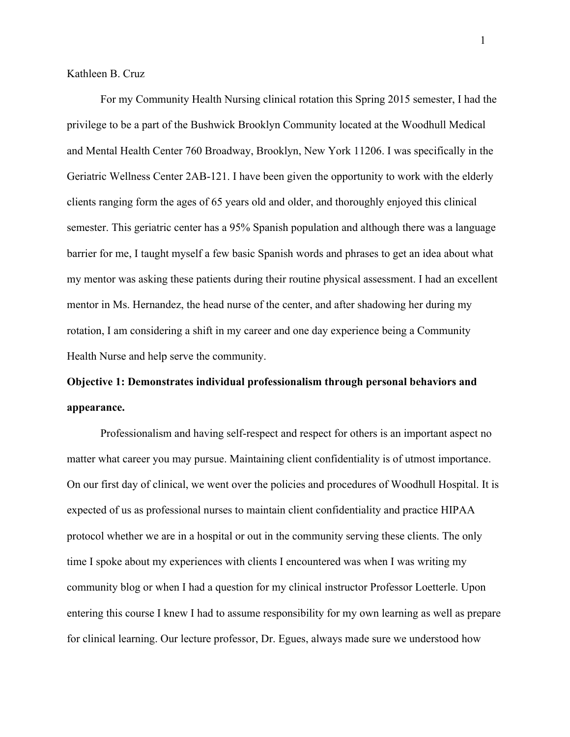Kathleen B. Cruz

For my Community Health Nursing clinical rotation this Spring 2015 semester, I had the privilege to be a part of the Bushwick Brooklyn Community located at the Woodhull Medical and Mental Health Center 760 Broadway, Brooklyn, New York 11206. I was specifically in the Geriatric Wellness Center 2AB-121. I have been given the opportunity to work with the elderly clients ranging form the ages of 65 years old and older, and thoroughly enjoyed this clinical semester. This geriatric center has a 95% Spanish population and although there was a language barrier for me, I taught myself a few basic Spanish words and phrases to get an idea about what my mentor was asking these patients during their routine physical assessment. I had an excellent mentor in Ms. Hernandez, the head nurse of the center, and after shadowing her during my rotation, I am considering a shift in my career and one day experience being a Community Health Nurse and help serve the community.

## **Objective 1: Demonstrates individual professionalism through personal behaviors and appearance.**

Professionalism and having self-respect and respect for others is an important aspect no matter what career you may pursue. Maintaining client confidentiality is of utmost importance. On our first day of clinical, we went over the policies and procedures of Woodhull Hospital. It is expected of us as professional nurses to maintain client confidentiality and practice HIPAA protocol whether we are in a hospital or out in the community serving these clients. The only time I spoke about my experiences with clients I encountered was when I was writing my community blog or when I had a question for my clinical instructor Professor Loetterle. Upon entering this course I knew I had to assume responsibility for my own learning as well as prepare for clinical learning. Our lecture professor, Dr. Egues, always made sure we understood how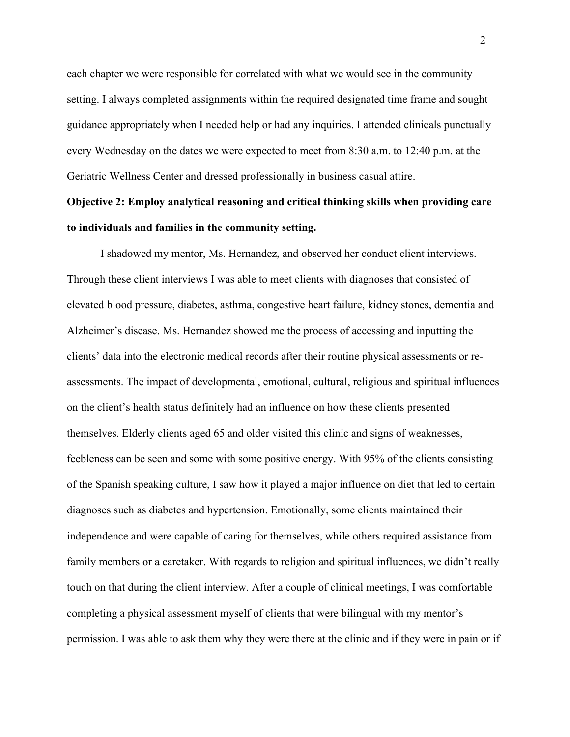each chapter we were responsible for correlated with what we would see in the community setting. I always completed assignments within the required designated time frame and sought guidance appropriately when I needed help or had any inquiries. I attended clinicals punctually every Wednesday on the dates we were expected to meet from 8:30 a.m. to 12:40 p.m. at the Geriatric Wellness Center and dressed professionally in business casual attire.

### **Objective 2: Employ analytical reasoning and critical thinking skills when providing care to individuals and families in the community setting.**

I shadowed my mentor, Ms. Hernandez, and observed her conduct client interviews. Through these client interviews I was able to meet clients with diagnoses that consisted of elevated blood pressure, diabetes, asthma, congestive heart failure, kidney stones, dementia and Alzheimer's disease. Ms. Hernandez showed me the process of accessing and inputting the clients' data into the electronic medical records after their routine physical assessments or reassessments. The impact of developmental, emotional, cultural, religious and spiritual influences on the client's health status definitely had an influence on how these clients presented themselves. Elderly clients aged 65 and older visited this clinic and signs of weaknesses, feebleness can be seen and some with some positive energy. With 95% of the clients consisting of the Spanish speaking culture, I saw how it played a major influence on diet that led to certain diagnoses such as diabetes and hypertension. Emotionally, some clients maintained their independence and were capable of caring for themselves, while others required assistance from family members or a caretaker. With regards to religion and spiritual influences, we didn't really touch on that during the client interview. After a couple of clinical meetings, I was comfortable completing a physical assessment myself of clients that were bilingual with my mentor's permission. I was able to ask them why they were there at the clinic and if they were in pain or if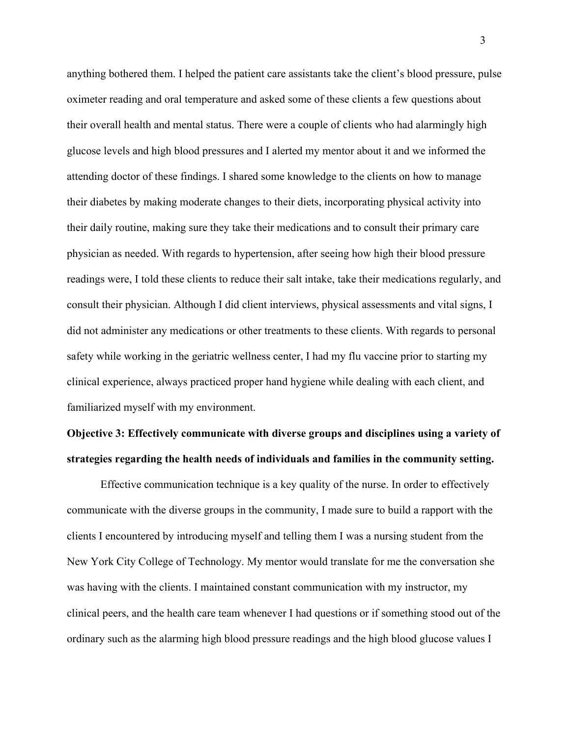anything bothered them. I helped the patient care assistants take the client's blood pressure, pulse oximeter reading and oral temperature and asked some of these clients a few questions about their overall health and mental status. There were a couple of clients who had alarmingly high glucose levels and high blood pressures and I alerted my mentor about it and we informed the attending doctor of these findings. I shared some knowledge to the clients on how to manage their diabetes by making moderate changes to their diets, incorporating physical activity into their daily routine, making sure they take their medications and to consult their primary care physician as needed. With regards to hypertension, after seeing how high their blood pressure readings were, I told these clients to reduce their salt intake, take their medications regularly, and consult their physician. Although I did client interviews, physical assessments and vital signs, I did not administer any medications or other treatments to these clients. With regards to personal safety while working in the geriatric wellness center, I had my flu vaccine prior to starting my clinical experience, always practiced proper hand hygiene while dealing with each client, and familiarized myself with my environment.

# **Objective 3: Effectively communicate with diverse groups and disciplines using a variety of strategies regarding the health needs of individuals and families in the community setting.**

Effective communication technique is a key quality of the nurse. In order to effectively communicate with the diverse groups in the community, I made sure to build a rapport with the clients I encountered by introducing myself and telling them I was a nursing student from the New York City College of Technology. My mentor would translate for me the conversation she was having with the clients. I maintained constant communication with my instructor, my clinical peers, and the health care team whenever I had questions or if something stood out of the ordinary such as the alarming high blood pressure readings and the high blood glucose values I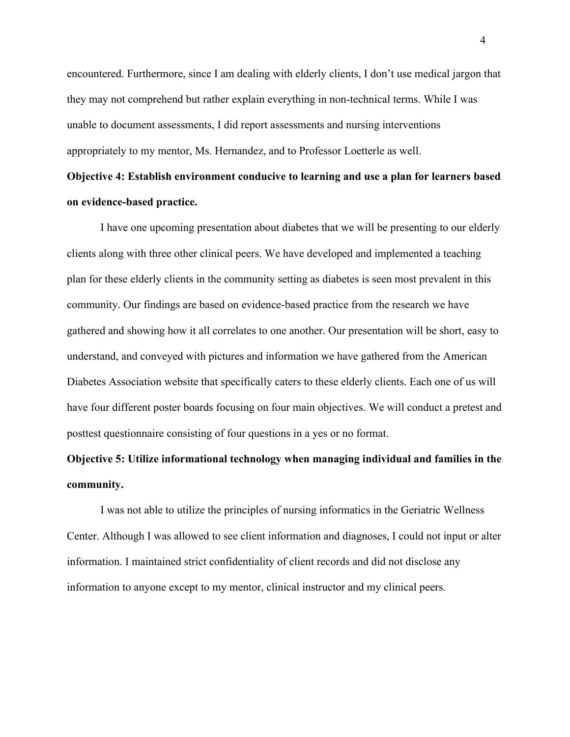encountered. Furthermore, since I am dealing with elderly clients, I don't use medical jargon that they may not comprehend but rather explain everything in non-technical terms. While I was unable to document assessments, I did report assessments and nursing interventions appropriately to my mentor, Ms. Hernandez, and to Professor Loetterle as well.

# **Objective 4: Establish environment conducive to learning and use a plan for learners based on evidence-based practice.**

I have one upcoming presentation about diabetes that we will be presenting to our elderly clients along with three other clinical peers. We have developed and implemented a teaching plan for these elderly clients in the community setting as diabetes is seen most prevalent in this community. Our findings are based on evidence-based practice from the research we have gathered and showing how it all correlates to one another. Our presentation will be short, easy to understand, and conveyed with pictures and information we have gathered from the American Diabetes Association website that specifically caters to these elderly clients. Each one of us will have four different poster boards focusing on four main objectives. We will conduct a pretest and posttest questionnaire consisting of four questions in a yes or no format.

## **Objective 5: Utilize informational technology when managing individual and families in the community.**

I was not able to utilize the principles of nursing informatics in the Geriatric Wellness Center. Although I was allowed to see client information and diagnoses, I could not input or alter information. I maintained strict confidentiality of client records and did not disclose any information to anyone except to my mentor, clinical instructor and my clinical peers.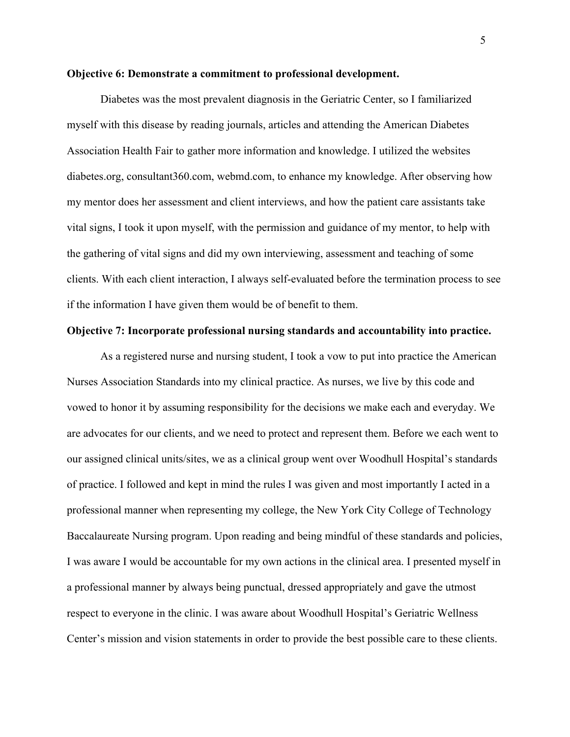#### **Objective 6: Demonstrate a commitment to professional development.**

Diabetes was the most prevalent diagnosis in the Geriatric Center, so I familiarized myself with this disease by reading journals, articles and attending the American Diabetes Association Health Fair to gather more information and knowledge. I utilized the websites diabetes.org, consultant360.com, webmd.com, to enhance my knowledge. After observing how my mentor does her assessment and client interviews, and how the patient care assistants take vital signs, I took it upon myself, with the permission and guidance of my mentor, to help with the gathering of vital signs and did my own interviewing, assessment and teaching of some clients. With each client interaction, I always self-evaluated before the termination process to see if the information I have given them would be of benefit to them.

#### **Objective 7: Incorporate professional nursing standards and accountability into practice.**

As a registered nurse and nursing student, I took a vow to put into practice the American Nurses Association Standards into my clinical practice. As nurses, we live by this code and vowed to honor it by assuming responsibility for the decisions we make each and everyday. We are advocates for our clients, and we need to protect and represent them. Before we each went to our assigned clinical units/sites, we as a clinical group went over Woodhull Hospital's standards of practice. I followed and kept in mind the rules I was given and most importantly I acted in a professional manner when representing my college, the New York City College of Technology Baccalaureate Nursing program. Upon reading and being mindful of these standards and policies, I was aware I would be accountable for my own actions in the clinical area. I presented myself in a professional manner by always being punctual, dressed appropriately and gave the utmost respect to everyone in the clinic. I was aware about Woodhull Hospital's Geriatric Wellness Center's mission and vision statements in order to provide the best possible care to these clients.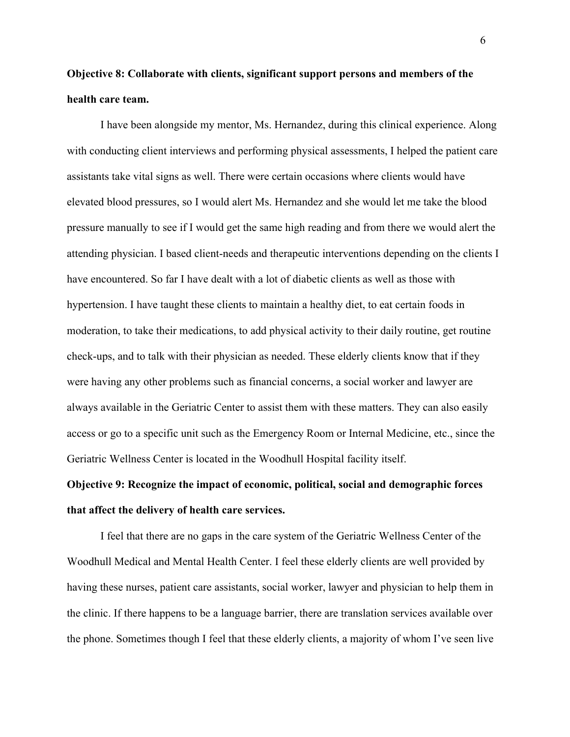### **Objective 8: Collaborate with clients, significant support persons and members of the health care team.**

I have been alongside my mentor, Ms. Hernandez, during this clinical experience. Along with conducting client interviews and performing physical assessments, I helped the patient care assistants take vital signs as well. There were certain occasions where clients would have elevated blood pressures, so I would alert Ms. Hernandez and she would let me take the blood pressure manually to see if I would get the same high reading and from there we would alert the attending physician. I based client-needs and therapeutic interventions depending on the clients I have encountered. So far I have dealt with a lot of diabetic clients as well as those with hypertension. I have taught these clients to maintain a healthy diet, to eat certain foods in moderation, to take their medications, to add physical activity to their daily routine, get routine check-ups, and to talk with their physician as needed. These elderly clients know that if they were having any other problems such as financial concerns, a social worker and lawyer are always available in the Geriatric Center to assist them with these matters. They can also easily access or go to a specific unit such as the Emergency Room or Internal Medicine, etc., since the Geriatric Wellness Center is located in the Woodhull Hospital facility itself.

# **Objective 9: Recognize the impact of economic, political, social and demographic forces that affect the delivery of health care services.**

I feel that there are no gaps in the care system of the Geriatric Wellness Center of the Woodhull Medical and Mental Health Center. I feel these elderly clients are well provided by having these nurses, patient care assistants, social worker, lawyer and physician to help them in the clinic. If there happens to be a language barrier, there are translation services available over the phone. Sometimes though I feel that these elderly clients, a majority of whom I've seen live